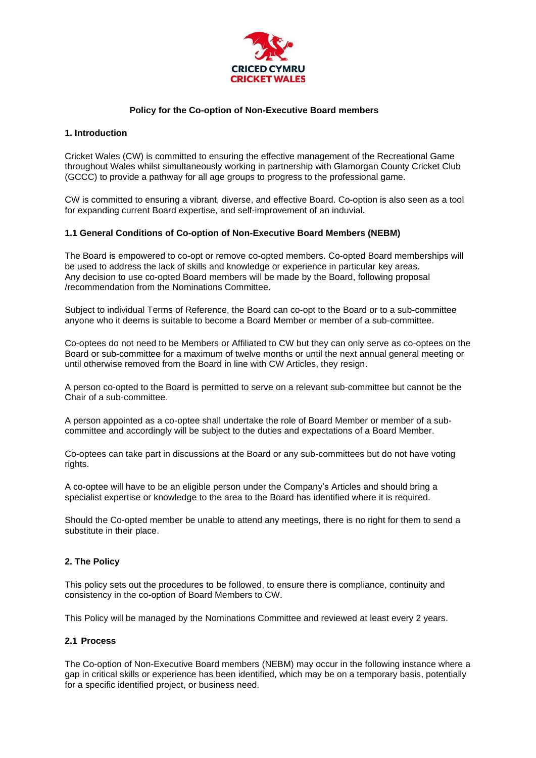

## **Policy for the Co-option of Non-Executive Board members**

### **1. Introduction**

Cricket Wales (CW) is committed to ensuring the effective management of the Recreational Game throughout Wales whilst simultaneously working in partnership with Glamorgan County Cricket Club (GCCC) to provide a pathway for all age groups to progress to the professional game.

CW is committed to ensuring a vibrant, diverse, and effective Board. Co-option is also seen as a tool for expanding current Board expertise, and self-improvement of an induvial.

## **1.1 General Conditions of Co-option of Non-Executive Board Members (NEBM)**

The Board is empowered to co-opt or remove co-opted members. Co-opted Board memberships will be used to address the lack of skills and knowledge or experience in particular key areas. Any decision to use co-opted Board members will be made by the Board, following proposal /recommendation from the Nominations Committee.

Subject to individual Terms of Reference, the Board can co-opt to the Board or to a sub-committee anyone who it deems is suitable to become a Board Member or member of a sub-committee.

Co-optees do not need to be Members or Affiliated to CW but they can only serve as co-optees on the Board or sub-committee for a maximum of twelve months or until the next annual general meeting or until otherwise removed from the Board in line with CW Articles, they resign.

A person co-opted to the Board is permitted to serve on a relevant sub-committee but cannot be the Chair of a sub-committee.

A person appointed as a co-optee shall undertake the role of Board Member or member of a subcommittee and accordingly will be subject to the duties and expectations of a Board Member.

Co-optees can take part in discussions at the Board or any sub-committees but do not have voting rights.

A co-optee will have to be an eligible person under the Company's Articles and should bring a specialist expertise or knowledge to the area to the Board has identified where it is required.

Should the Co-opted member be unable to attend any meetings, there is no right for them to send a substitute in their place.

## **2. The Policy**

This policy sets out the procedures to be followed, to ensure there is compliance, continuity and consistency in the co-option of Board Members to CW.

This Policy will be managed by the Nominations Committee and reviewed at least every 2 years.

## **2.1 Process**

The Co-option of Non-Executive Board members (NEBM) may occur in the following instance where a gap in critical skills or experience has been identified, which may be on a temporary basis, potentially for a specific identified project, or business need.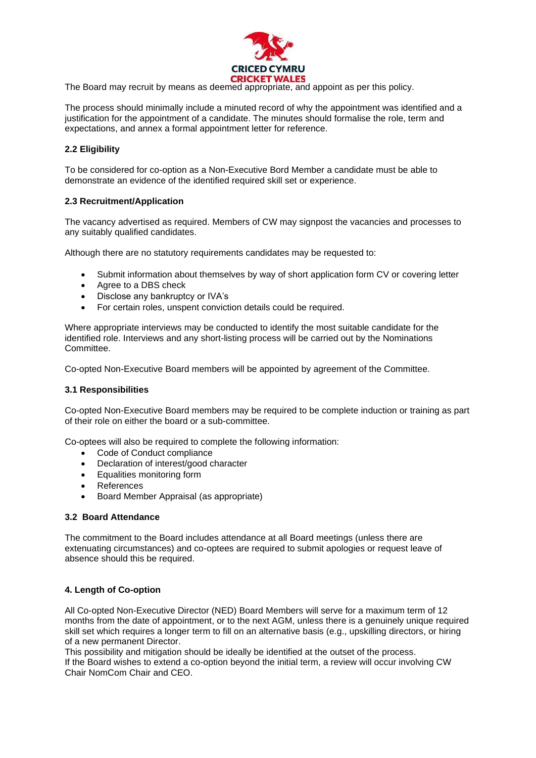

The Board may recruit by means as deemed appropriate, and appoint as per this policy.

The process should minimally include a minuted record of why the appointment was identified and a justification for the appointment of a candidate. The minutes should formalise the role, term and expectations, and annex a formal appointment letter for reference.

# **2.2 Eligibility**

To be considered for co-option as a Non-Executive Bord Member a candidate must be able to demonstrate an evidence of the identified required skill set or experience.

### **2.3 Recruitment/Application**

The vacancy advertised as required. Members of CW may signpost the vacancies and processes to any suitably qualified candidates.

Although there are no statutory requirements candidates may be requested to:

- Submit information about themselves by way of short application form CV or covering letter
- Agree to a DBS check
- Disclose any bankruptcy or IVA's
- For certain roles, unspent conviction details could be required.

Where appropriate interviews may be conducted to identify the most suitable candidate for the identified role. Interviews and any short-listing process will be carried out by the Nominations Committee.

Co-opted Non-Executive Board members will be appointed by agreement of the Committee.

#### **3.1 Responsibilities**

Co-opted Non-Executive Board members may be required to be complete induction or training as part of their role on either the board or a sub-committee.

Co-optees will also be required to complete the following information:

- Code of Conduct compliance
- Declaration of interest/good character
- Equalities monitoring form
- **References**
- Board Member Appraisal (as appropriate)

#### **3.2 Board Attendance**

The commitment to the Board includes attendance at all Board meetings (unless there are extenuating circumstances) and co-optees are required to submit apologies or request leave of absence should this be required.

## **4. Length of Co-option**

All Co-opted Non-Executive Director (NED) Board Members will serve for a maximum term of 12 months from the date of appointment, or to the next AGM, unless there is a genuinely unique required skill set which requires a longer term to fill on an alternative basis (e.g., upskilling directors, or hiring of a new permanent Director.

This possibility and mitigation should be ideally be identified at the outset of the process. If the Board wishes to extend a co-option beyond the initial term, a review will occur involving CW Chair NomCom Chair and CEO.